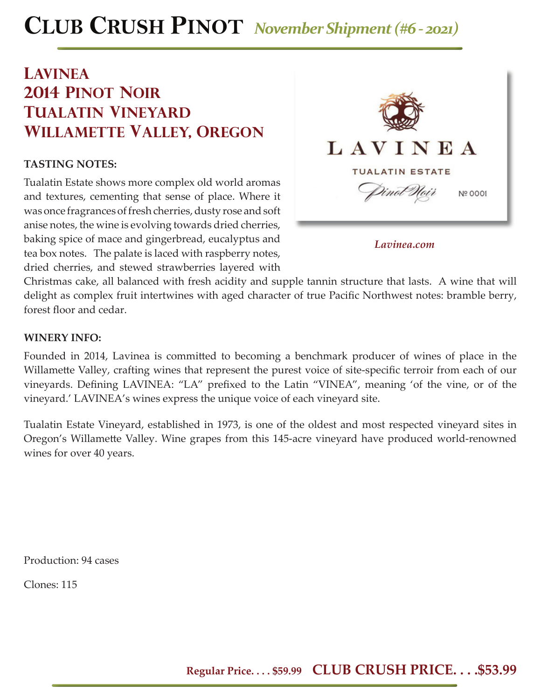# **CLUB CRUSH PINOT** *November Shipment (#6 - 2021)*

### **lavinea 2014 pinot noir tualatin vineyard willamette valley, oregon**

### **TASTING NOTES:**

Tualatin Estate shows more complex old world aromas and textures, cementing that sense of place. Where it was once fragrances of fresh cherries, dusty rose and soft anise notes, the wine is evolving towards dried cherries, baking spice of mace and gingerbread, eucalyptus and tea box notes. The palate is laced with raspberry notes, dried cherries, and stewed strawberries layered with



*Lavinea.com*

Christmas cake, all balanced with fresh acidity and supple tannin structure that lasts. A wine that will delight as complex fruit intertwines with aged character of true Pacific Northwest notes: bramble berry, forest floor and cedar.

#### **WINERY INFO:**

Founded in 2014, Lavinea is committed to becoming a benchmark producer of wines of place in the Willamette Valley, crafting wines that represent the purest voice of site-specific terroir from each of our vineyards. Defining LAVINEA: "LA" prefixed to the Latin "VINEA", meaning 'of the vine, or of the vineyard.' LAVINEA's wines express the unique voice of each vineyard site.

Tualatin Estate Vineyard, established in 1973, is one of the oldest and most respected vineyard sites in Oregon's Willamette Valley. Wine grapes from this 145-acre vineyard have produced world-renowned wines for over 40 years.

Production: 94 cases

Clones: 115